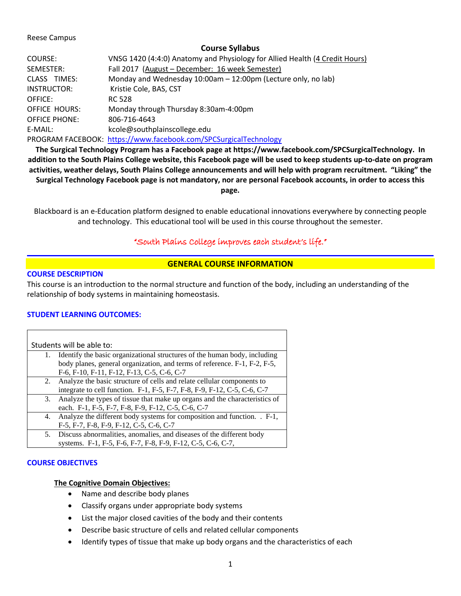#### Reese Campus

#### **Course Syllabus**

| COURSE:<br>SEMESTER: | VNSG 1420 (4:4:0) Anatomy and Physiology for Allied Health (4 Credit Hours)<br>Fall 2017 (August - December: 16 week Semester) |
|----------------------|--------------------------------------------------------------------------------------------------------------------------------|
| CLASS TIMES:         | Monday and Wednesday 10:00am - 12:00pm (Lecture only, no lab)                                                                  |
| INSTRUCTOR:          | Kristie Cole, BAS, CST                                                                                                         |
| OFFICE:              | <b>RC 528</b>                                                                                                                  |
| OFFICE HOURS:        | Monday through Thursday 8:30am-4:00pm                                                                                          |
| <b>OFFICE PHONE:</b> | 806-716-4643                                                                                                                   |
| E-MAIL:              | kcole@southplainscollege.edu                                                                                                   |
|                      | PROGRAM FACEBOOK: https://www.facebook.com/SPCSurgicalTechnology                                                               |

**The Surgical Technology Program has a Facebook page at https://www.facebook.com/SPCSurgicalTechnology. In addition to the South Plains College website, this Facebook page will be used to keep students up-to-date on program activities, weather delays, South Plains College announcements and will help with program recruitment. "Liking" the Surgical Technology Facebook page is not mandatory, nor are personal Facebook accounts, in order to access this** 

**page.**

Blackboard is an e-Education platform designed to enable educational innovations everywhere by connecting people and technology. This educational tool will be used in this course throughout the semester.

## "South Plains College improves each student's life."

### **GENERAL COURSE INFORMATION**

### **COURSE DESCRIPTION**

This course is an introduction to the normal structure and function of the body, including an understanding of the relationship of body systems in maintaining homeostasis.

### **STUDENT LEARNING OUTCOMES:**

|    | Students will be able to:                                                                                                                          |
|----|----------------------------------------------------------------------------------------------------------------------------------------------------|
| 1. | Identify the basic organizational structures of the human body, including                                                                          |
|    | body planes, general organization, and terms of reference. F-1, F-2, F-5,<br>F-6, F-10, F-11, F-12, F-13, C-5, C-6, C-7                            |
| 2. | Analyze the basic structure of cells and relate cellular components to<br>integrate to cell function. F-1, F-5, F-7, F-8, F-9, F-12, C-5, C-6, C-7 |
| 3. | Analyze the types of tissue that make up organs and the characteristics of<br>each. F-1, F-5, F-7, F-8, F-9, F-12, C-5, C-6, C-7                   |
| 4. | Analyze the different body systems for composition and function. . F-1,<br>F-5, F-7, F-8, F-9, F-12, C-5, C-6, C-7                                 |
| 5. | Discuss abnormalities, anomalies, and diseases of the different body<br>systems. F-1, F-5, F-6, F-7, F-8, F-9, F-12, C-5, C-6, C-7,                |

### **COURSE OBJECTIVES**

### **The Cognitive Domain Objectives:**

- Name and describe body planes
- Classify organs under appropriate body systems
- List the major closed cavities of the body and their contents
- Describe basic structure of cells and related cellular components
- Identify types of tissue that make up body organs and the characteristics of each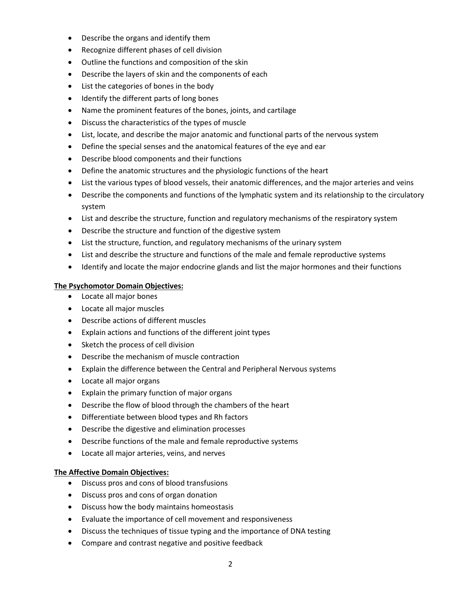- Describe the organs and identify them
- Recognize different phases of cell division
- Outline the functions and composition of the skin
- Describe the layers of skin and the components of each
- List the categories of bones in the body
- Identify the different parts of long bones
- Name the prominent features of the bones, joints, and cartilage
- Discuss the characteristics of the types of muscle
- List, locate, and describe the major anatomic and functional parts of the nervous system
- Define the special senses and the anatomical features of the eye and ear
- Describe blood components and their functions
- Define the anatomic structures and the physiologic functions of the heart
- List the various types of blood vessels, their anatomic differences, and the major arteries and veins
- Describe the components and functions of the lymphatic system and its relationship to the circulatory system
- List and describe the structure, function and regulatory mechanisms of the respiratory system
- Describe the structure and function of the digestive system
- List the structure, function, and regulatory mechanisms of the urinary system
- List and describe the structure and functions of the male and female reproductive systems
- Identify and locate the major endocrine glands and list the major hormones and their functions

## **The Psychomotor Domain Objectives:**

- Locate all major bones
- Locate all major muscles
- Describe actions of different muscles
- Explain actions and functions of the different joint types
- Sketch the process of cell division
- Describe the mechanism of muscle contraction
- Explain the difference between the Central and Peripheral Nervous systems
- Locate all major organs
- Explain the primary function of major organs
- Describe the flow of blood through the chambers of the heart
- Differentiate between blood types and Rh factors
- Describe the digestive and elimination processes
- Describe functions of the male and female reproductive systems
- Locate all major arteries, veins, and nerves

## **The Affective Domain Objectives:**

- Discuss pros and cons of blood transfusions
- Discuss pros and cons of organ donation
- Discuss how the body maintains homeostasis
- Evaluate the importance of cell movement and responsiveness
- Discuss the techniques of tissue typing and the importance of DNA testing
- Compare and contrast negative and positive feedback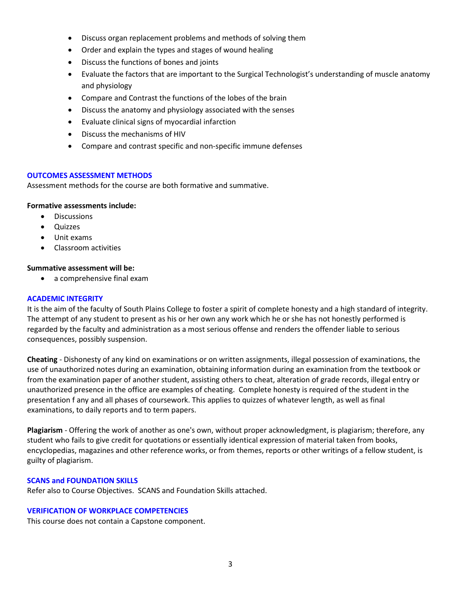- Discuss organ replacement problems and methods of solving them
- Order and explain the types and stages of wound healing
- Discuss the functions of bones and joints
- Evaluate the factors that are important to the Surgical Technologist's understanding of muscle anatomy and physiology
- Compare and Contrast the functions of the lobes of the brain
- Discuss the anatomy and physiology associated with the senses
- Evaluate clinical signs of myocardial infarction
- Discuss the mechanisms of HIV
- Compare and contrast specific and non-specific immune defenses

#### **OUTCOMES ASSESSMENT METHODS**

Assessment methods for the course are both formative and summative.

#### **Formative assessments include:**

- Discussions
- Quizzes
- Unit exams
- Classroom activities

#### **Summative assessment will be:**

• a comprehensive final exam

#### **ACADEMIC INTEGRITY**

It is the aim of the faculty of South Plains College to foster a spirit of complete honesty and a high standard of integrity. The attempt of any student to present as his or her own any work which he or she has not honestly performed is regarded by the faculty and administration as a most serious offense and renders the offender liable to serious consequences, possibly suspension.

**Cheating** - Dishonesty of any kind on examinations or on written assignments, illegal possession of examinations, the use of unauthorized notes during an examination, obtaining information during an examination from the textbook or from the examination paper of another student, assisting others to cheat, alteration of grade records, illegal entry or unauthorized presence in the office are examples of cheating. Complete honesty is required of the student in the presentation f any and all phases of coursework. This applies to quizzes of whatever length, as well as final examinations, to daily reports and to term papers.

**Plagiarism** - Offering the work of another as one's own, without proper acknowledgment, is plagiarism; therefore, any student who fails to give credit for quotations or essentially identical expression of material taken from books, encyclopedias, magazines and other reference works, or from themes, reports or other writings of a fellow student, is guilty of plagiarism.

#### **SCANS and FOUNDATION SKILLS**

Refer also to Course Objectives. SCANS and Foundation Skills attached.

### **VERIFICATION OF WORKPLACE COMPETENCIES**

This course does not contain a Capstone component.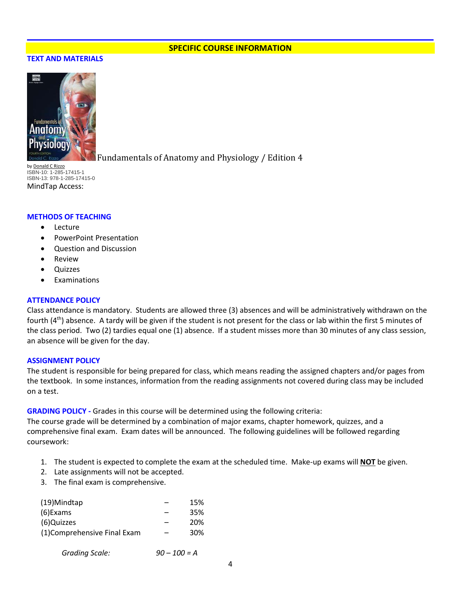#### **SPECIFIC COURSE INFORMATION**

#### **TEXT AND MATERIALS**



b[y Donald C Rizzo](https://www.barnesandnoble.com/s/%22Donald%20C%20Rizzo%22;jsessionid=F2BB4B9947945AFF44BDEA11DFC798EF.prodny_store01-atgap03?Ntk=P_key_Contributor_List&Ns=P_Sales_Rank&Ntx=mode+matchall) ISBN-10: 1-285-17415-1 ISBN-13: 978-1-285-17415-0 MindTap Access:

#### **METHODS OF TEACHING**

- Lecture
- PowerPoint Presentation
- Question and Discussion
- **Review**
- **Quizzes**
- **Examinations**

#### **ATTENDANCE POLICY**

Class attendance is mandatory. Students are allowed three (3) absences and will be administratively withdrawn on the fourth  $(4<sup>th</sup>)$  absence. A tardy will be given if the student is not present for the class or lab within the first 5 minutes of the class period. Two (2) tardies equal one (1) absence. If a student misses more than 30 minutes of any class session, an absence will be given for the day.

#### **ASSIGNMENT POLICY**

The student is responsible for being prepared for class, which means reading the assigned chapters and/or pages from the textbook. In some instances, information from the reading assignments not covered during class may be included on a test.

### **GRADING POLICY -** Grades in this course will be determined using the following criteria:

The course grade will be determined by a combination of major exams, chapter homework, quizzes, and a comprehensive final exam. Exam dates will be announced. The following guidelines will be followed regarding coursework:

- 1. The student is expected to complete the exam at the scheduled time. Make-up exams will **NOT** be given.
- 2. Late assignments will not be accepted.
- 3. The final exam is comprehensive.

| (19)Mindtap                  | 15% |
|------------------------------|-----|
| (6) Exams                    | 35% |
| (6)Quizzes                   | 20% |
| (1) Comprehensive Final Exam | 30% |
|                              |     |

 *Grading Scale: 90 – 100 = A*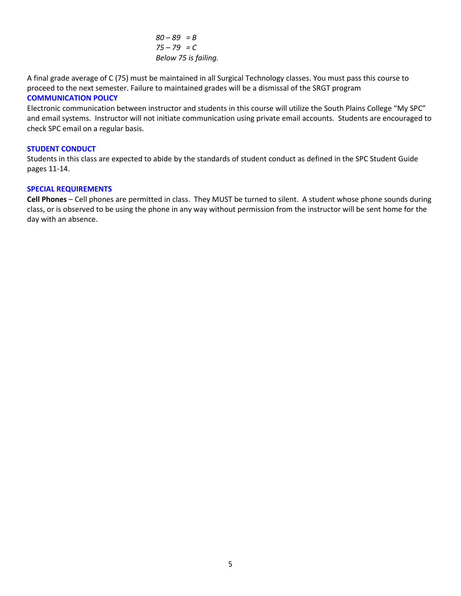$$
80-89 = B
$$
  

$$
75-79 = C
$$
  

$$
Below 75 is failing.
$$

A final grade average of C (75) must be maintained in all Surgical Technology classes. You must pass this course to proceed to the next semester. Failure to maintained grades will be a dismissal of the SRGT program **COMMUNICATION POLICY**

Electronic communication between instructor and students in this course will utilize the South Plains College "My SPC" and email systems. Instructor will not initiate communication using private email accounts. Students are encouraged to check SPC email on a regular basis.

### **STUDENT CONDUCT**

Students in this class are expected to abide by the standards of student conduct as defined in the SPC Student Guide pages 11-14.

#### **SPECIAL REQUIREMENTS**

**Cell Phones** – Cell phones are permitted in class. They MUST be turned to silent. A student whose phone sounds during class, or is observed to be using the phone in any way without permission from the instructor will be sent home for the day with an absence.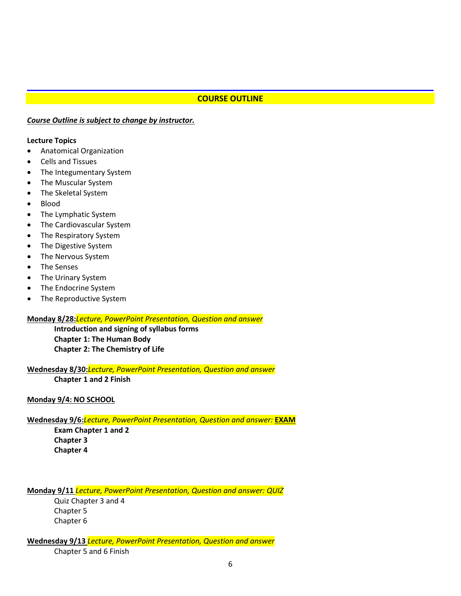### **COURSE OUTLINE**

#### *Course Outline is subject to change by instructor.*

#### **Lecture Topics**

- Anatomical Organization
- Cells and Tissues
- The Integumentary System
- The Muscular System
- The Skeletal System
- Blood
- The Lymphatic System
- The Cardiovascular System
- The Respiratory System
- The Digestive System
- The Nervous System
- The Senses
- The Urinary System
- The Endocrine System
- The Reproductive System

### **Monday 8/28:***Lecture, PowerPoint Presentation, Question and answer*

**Introduction and signing of syllabus forms Chapter 1: The Human Body Chapter 2: The Chemistry of Life**

### **Wednesday 8/30:***Lecture, PowerPoint Presentation, Question and answer*

**Chapter 1 and 2 Finish**

#### **Monday 9/4: NO SCHOOL**

**Wednesday 9/6:***Lecture, PowerPoint Presentation, Question and answer:* **EXAM**

**Exam Chapter 1 and 2 Chapter 3 Chapter 4**

**Monday 9/11** *Lecture, PowerPoint Presentation, Question and answer: QUIZ*

Quiz Chapter 3 and 4 Chapter 5 Chapter 6

**Wednesday 9/13** *Lecture, PowerPoint Presentation, Question and answer* Chapter 5 and 6 Finish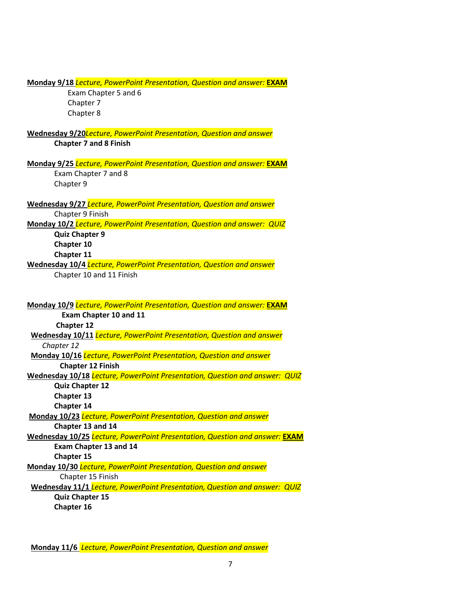| Monday 9/18 Lecture, PowerPoint Presentation, Question and answer: EXAM            |  |  |
|------------------------------------------------------------------------------------|--|--|
| Exam Chapter 5 and 6                                                               |  |  |
| Chapter 7                                                                          |  |  |
| Chapter 8                                                                          |  |  |
|                                                                                    |  |  |
| <b>Wednesday 9/20Lecture, PowerPoint Presentation, Question and answer</b>         |  |  |
| <b>Chapter 7 and 8 Finish</b>                                                      |  |  |
| Monday 9/25 Lecture, PowerPoint Presentation, Question and answer: EXAM            |  |  |
| Exam Chapter 7 and 8                                                               |  |  |
| Chapter 9                                                                          |  |  |
|                                                                                    |  |  |
| <b>Wednesday 9/27 Lecture, PowerPoint Presentation, Question and answer</b>        |  |  |
| Chapter 9 Finish                                                                   |  |  |
| Monday 10/2 Lecture, PowerPoint Presentation, Question and answer: QUIZ            |  |  |
| <b>Quiz Chapter 9</b>                                                              |  |  |
| Chapter 10                                                                         |  |  |
| Chapter 11                                                                         |  |  |
| Wednesday 10/4 Lecture, PowerPoint Presentation, Question and answer               |  |  |
| Chapter 10 and 11 Finish                                                           |  |  |
|                                                                                    |  |  |
|                                                                                    |  |  |
| Monday 10/9 Lecture, PowerPoint Presentation, Question and answer: EXAM            |  |  |
| Exam Chapter 10 and 11                                                             |  |  |
| <b>Chapter 12</b>                                                                  |  |  |
| <b>Wednesday 10/11 Lecture, PowerPoint Presentation, Question and answer</b>       |  |  |
| Chapter 12                                                                         |  |  |
| Monday 10/16 Lecture, PowerPoint Presentation, Question and answer                 |  |  |
| <b>Chapter 12 Finish</b>                                                           |  |  |
| <b>Wednesday 10/18 Lecture, PowerPoint Presentation, Question and answer: QUIZ</b> |  |  |
| Quiz Chapter 12                                                                    |  |  |
| <b>Chapter 13</b>                                                                  |  |  |
| Chapter 14                                                                         |  |  |
| Monday 10/23 Lecture, PowerPoint Presentation, Question and answer                 |  |  |
| Chapter 13 and 14                                                                  |  |  |
| Wednesday 10/25 Lecture, PowerPoint Presentation, Question and answer: EXAM        |  |  |
| Exam Chapter 13 and 14                                                             |  |  |
| <b>Chapter 15</b>                                                                  |  |  |
| Monday 10/30 Lecture, PowerPoint Presentation, Question and answer                 |  |  |
| Chapter 15 Finish                                                                  |  |  |
| <b>Wednesday 11/1 Lecture, PowerPoint Presentation, Question and answer: QUIZ</b>  |  |  |
| <b>Quiz Chapter 15</b><br>Chapter 16                                               |  |  |
|                                                                                    |  |  |

 **Monday 11/6** *Lecture, PowerPoint Presentation, Question and answer*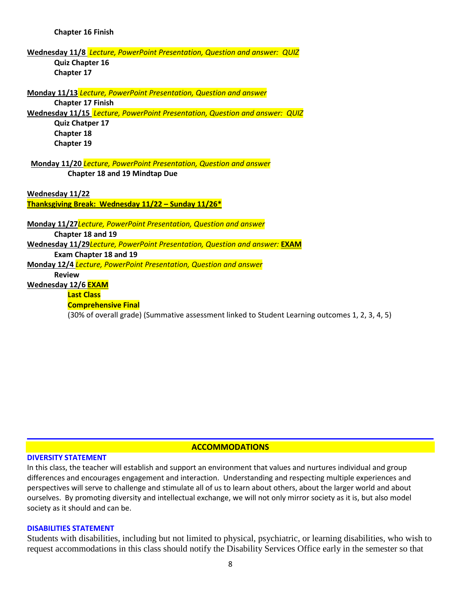**Chapter 16 Finish**

| Wednesday 11/8 Lecture, PowerPoint Presentation, Question and answer: QUIZ                      |
|-------------------------------------------------------------------------------------------------|
| Quiz Chapter 16                                                                                 |
| Chapter 17                                                                                      |
|                                                                                                 |
| Monday 11/13 Lecture, PowerPoint Presentation, Question and answer                              |
| <b>Chapter 17 Finish</b>                                                                        |
| Wednesday 11/15 Lecture, PowerPoint Presentation, Question and answer: QUIZ                     |
| <b>Quiz Chatper 17</b>                                                                          |
| <b>Chapter 18</b>                                                                               |
| Chapter 19                                                                                      |
|                                                                                                 |
| Monday 11/20 Lecture, PowerPoint Presentation, Question and answer                              |
| <b>Chapter 18 and 19 Mindtap Due</b>                                                            |
|                                                                                                 |
| Wednesday 11/22                                                                                 |
| Thanksgiving Break: Wednesday 11/22 - Sunday 11/26*                                             |
|                                                                                                 |
| Monday 11/27 Lecture, PowerPoint Presentation, Question and answer                              |
| Chapter 18 and 19                                                                               |
| Wednesday 11/29 Lecture, PowerPoint Presentation, Question and answer: EXAM                     |
| <b>Exam Chapter 18 and 19</b>                                                                   |
| Monday 12/4 Lecture, PowerPoint Presentation, Question and answer                               |
| <b>Review</b>                                                                                   |
| Wednesday 12/6 EXAM                                                                             |
| <b>Last Class</b>                                                                               |
| <b>Comprehensive Final</b>                                                                      |
| (30% of overall grade) (Summative assessment linked to Student Learning outcomes 1, 2, 3, 4, 5) |
|                                                                                                 |

# **ACCOMMODATIONS**

### **DIVERSITY STATEMENT**

In this class, the teacher will establish and support an environment that values and nurtures individual and group differences and encourages engagement and interaction. Understanding and respecting multiple experiences and perspectives will serve to challenge and stimulate all of us to learn about others, about the larger world and about ourselves. By promoting diversity and intellectual exchange, we will not only mirror society as it is, but also model society as it should and can be.

#### **DISABILITIES STATEMENT**

Students with disabilities, including but not limited to physical, psychiatric, or learning disabilities, who wish to request accommodations in this class should notify the Disability Services Office early in the semester so that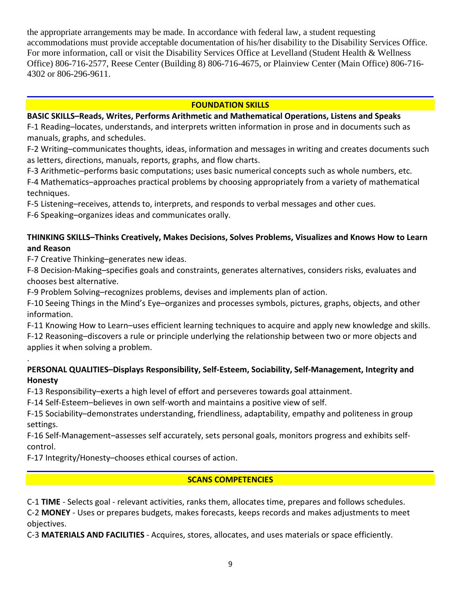the appropriate arrangements may be made. In accordance with federal law, a student requesting accommodations must provide acceptable documentation of his/her disability to the Disability Services Office. For more information, call or visit the Disability Services Office at Levelland (Student Health & Wellness Office) 806-716-2577, Reese Center (Building 8) 806-716-4675, or Plainview Center (Main Office) 806-716- 4302 or 806-296-9611.

## **FOUNDATION SKILLS**

# **BASIC SKILLS–Reads, Writes, Performs Arithmetic and Mathematical Operations, Listens and Speaks**

F-1 Reading–locates, understands, and interprets written information in prose and in documents such as manuals, graphs, and schedules.

F-2 Writing–communicates thoughts, ideas, information and messages in writing and creates documents such as letters, directions, manuals, reports, graphs, and flow charts.

F-3 Arithmetic–performs basic computations; uses basic numerical concepts such as whole numbers, etc.

F-4 Mathematics–approaches practical problems by choosing appropriately from a variety of mathematical techniques.

F-5 Listening–receives, attends to, interprets, and responds to verbal messages and other cues.

F-6 Speaking–organizes ideas and communicates orally.

# **THINKING SKILLS–Thinks Creatively, Makes Decisions, Solves Problems, Visualizes and Knows How to Learn and Reason**

F-7 Creative Thinking–generates new ideas.

.

F-8 Decision-Making–specifies goals and constraints, generates alternatives, considers risks, evaluates and chooses best alternative.

F-9 Problem Solving–recognizes problems, devises and implements plan of action.

F-10 Seeing Things in the Mind's Eye–organizes and processes symbols, pictures, graphs, objects, and other information.

F-11 Knowing How to Learn–uses efficient learning techniques to acquire and apply new knowledge and skills. F-12 Reasoning–discovers a rule or principle underlying the relationship between two or more objects and applies it when solving a problem.

# **PERSONAL QUALITIES–Displays Responsibility, Self-Esteem, Sociability, Self-Management, Integrity and Honesty**

F-13 Responsibility–exerts a high level of effort and perseveres towards goal attainment.

F-14 Self-Esteem–believes in own self-worth and maintains a positive view of self.

F-15 Sociability–demonstrates understanding, friendliness, adaptability, empathy and politeness in group settings.

F-16 Self-Management–assesses self accurately, sets personal goals, monitors progress and exhibits selfcontrol.

F-17 Integrity/Honesty–chooses ethical courses of action.

## **SCANS COMPETENCIES**

C-1 **TIME** - Selects goal - relevant activities, ranks them, allocates time, prepares and follows schedules. C-2 **MONEY** - Uses or prepares budgets, makes forecasts, keeps records and makes adjustments to meet objectives.

C-3 **MATERIALS AND FACILITIES** - Acquires, stores, allocates, and uses materials or space efficiently.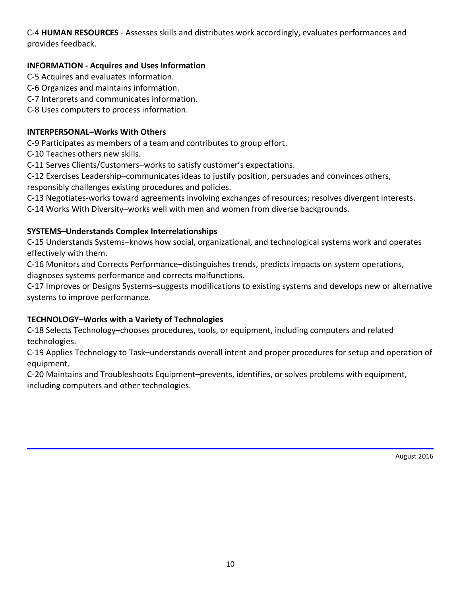C-4 **HUMAN RESOURCES** - Assesses skills and distributes work accordingly, evaluates performances and provides feedback.

# **INFORMATION - Acquires and Uses Information**

C-5 Acquires and evaluates information.

- C-6 Organizes and maintains information.
- C-7 Interprets and communicates information.

C-8 Uses computers to process information.

# **INTERPERSONAL–Works With Others**

C-9 Participates as members of a team and contributes to group effort.

C-10 Teaches others new skills.

C-11 Serves Clients/Customers–works to satisfy customer's expectations.

C-12 Exercises Leadership–communicates ideas to justify position, persuades and convinces others,

responsibly challenges existing procedures and policies.

C-13 Negotiates-works toward agreements involving exchanges of resources; resolves divergent interests.

C-14 Works With Diversity–works well with men and women from diverse backgrounds.

# **SYSTEMS–Understands Complex Interrelationships**

C-15 Understands Systems–knows how social, organizational, and technological systems work and operates effectively with them.

C-16 Monitors and Corrects Performance–distinguishes trends, predicts impacts on system operations, diagnoses systems performance and corrects malfunctions.

C-17 Improves or Designs Systems–suggests modifications to existing systems and develops new or alternative systems to improve performance.

# **TECHNOLOGY–Works with a Variety of Technologies**

C-18 Selects Technology–chooses procedures, tools, or equipment, including computers and related technologies.

C-19 Applies Technology to Task–understands overall intent and proper procedures for setup and operation of equipment.

C-20 Maintains and Troubleshoots Equipment–prevents, identifies, or solves problems with equipment, including computers and other technologies.